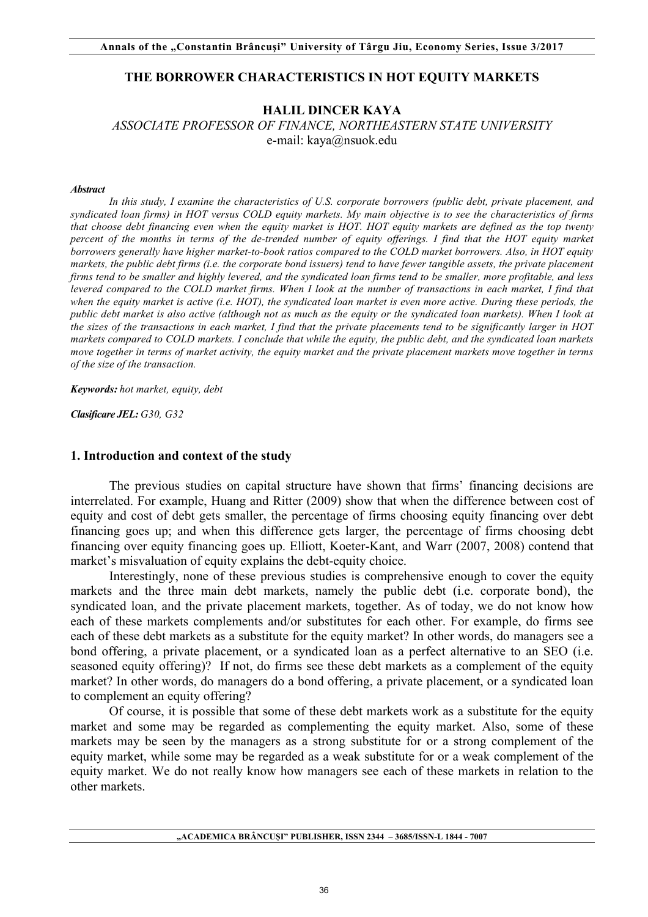#### **THE BORROWER CHARACTERISTICS IN HOT EQUITY MARKETS**

## **HALIL DINCER KAYA**

*ASSOCIATE PROFESSOR OF FINANCE, NORTHEASTERN STATE UNIVERSITY*  e-mail: kaya@nsuok.edu

#### *Abstract*

*In this study, I examine the characteristics of U.S. corporate borrowers (public debt, private placement, and syndicated loan firms) in HOT versus COLD equity markets. My main objective is to see the characteristics of firms that choose debt financing even when the equity market is HOT. HOT equity markets are defined as the top twenty percent* of the months in terms of the de-trended number of equity offerings. I find that the HOT equity market *borrowers generally have higher market-to-book ratios compared to the COLD market borrowers. Also, in HOT equity markets, the public debt firms (i.e. the corporate bond issuers) tend to have fewer tangible assets, the private placement firms tend to be smaller and highly levered, and the syndicated loan firms tend to be smaller, more profitable, and less levered compared to the COLD market firms. When I look at the number of transactions in each market, I find that when the equity market is active (i.e. HOT), the syndicated loan market is even more active. During these periods, the public debt market is also active (although not as much as the equity or the syndicated loan markets). When I look at the sizes of the transactions in each market, I find that the private placements tend to be significantly larger in HOT markets compared to COLD markets. I conclude that while the equity, the public debt, and the syndicated loan markets move together in terms of market activity, the equity market and the private placement markets move together in terms of the size of the transaction.*

*Keywords: hot market, equity, debt* 

*Clasificare JEL: G30, G32*

#### **1. Introduction and context of the study**

The previous studies on capital structure have shown that firms' financing decisions are interrelated. For example, Huang and Ritter (2009) show that when the difference between cost of equity and cost of debt gets smaller, the percentage of firms choosing equity financing over debt financing goes up; and when this difference gets larger, the percentage of firms choosing debt financing over equity financing goes up. Elliott, Koeter-Kant, and Warr (2007, 2008) contend that market's misvaluation of equity explains the debt-equity choice.

Interestingly, none of these previous studies is comprehensive enough to cover the equity markets and the three main debt markets, namely the public debt (i.e. corporate bond), the syndicated loan, and the private placement markets, together. As of today, we do not know how each of these markets complements and/or substitutes for each other. For example, do firms see each of these debt markets as a substitute for the equity market? In other words, do managers see a bond offering, a private placement, or a syndicated loan as a perfect alternative to an SEO (i.e. seasoned equity offering)? If not, do firms see these debt markets as a complement of the equity market? In other words, do managers do a bond offering, a private placement, or a syndicated loan to complement an equity offering?

Of course, it is possible that some of these debt markets work as a substitute for the equity market and some may be regarded as complementing the equity market. Also, some of these markets may be seen by the managers as a strong substitute for or a strong complement of the equity market, while some may be regarded as a weak substitute for or a weak complement of the equity market. We do not really know how managers see each of these markets in relation to the other markets.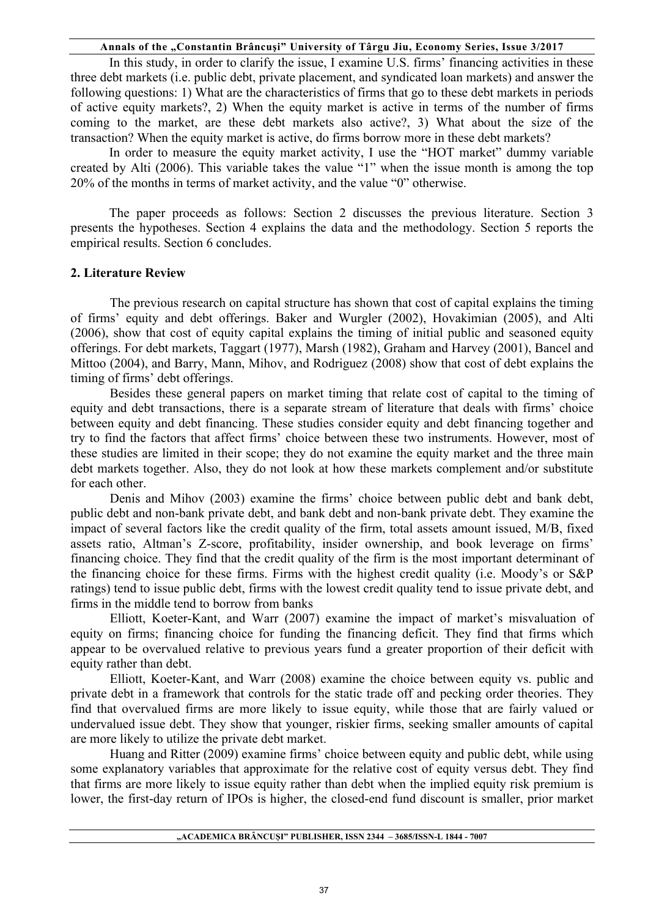In this study, in order to clarify the issue, I examine U.S. firms' financing activities in these three debt markets (i.e. public debt, private placement, and syndicated loan markets) and answer the following questions: 1) What are the characteristics of firms that go to these debt markets in periods of active equity markets?, 2) When the equity market is active in terms of the number of firms coming to the market, are these debt markets also active?, 3) What about the size of the transaction? When the equity market is active, do firms borrow more in these debt markets?

In order to measure the equity market activity, I use the "HOT market" dummy variable created by Alti (2006). This variable takes the value "1" when the issue month is among the top 20% of the months in terms of market activity, and the value "0" otherwise.

The paper proceeds as follows: Section 2 discusses the previous literature. Section 3 presents the hypotheses. Section 4 explains the data and the methodology. Section 5 reports the empirical results. Section 6 concludes.

## **2. Literature Review**

The previous research on capital structure has shown that cost of capital explains the timing of firms' equity and debt offerings. Baker and Wurgler (2002), Hovakimian (2005), and Alti (2006), show that cost of equity capital explains the timing of initial public and seasoned equity offerings. For debt markets, Taggart (1977), Marsh (1982), Graham and Harvey (2001), Bancel and Mittoo (2004), and Barry, Mann, Mihov, and Rodriguez (2008) show that cost of debt explains the timing of firms' debt offerings.

Besides these general papers on market timing that relate cost of capital to the timing of equity and debt transactions, there is a separate stream of literature that deals with firms' choice between equity and debt financing. These studies consider equity and debt financing together and try to find the factors that affect firms' choice between these two instruments. However, most of these studies are limited in their scope; they do not examine the equity market and the three main debt markets together. Also, they do not look at how these markets complement and/or substitute for each other.

Denis and Mihov (2003) examine the firms' choice between public debt and bank debt, public debt and non-bank private debt, and bank debt and non-bank private debt. They examine the impact of several factors like the credit quality of the firm, total assets amount issued, M/B, fixed assets ratio, Altman's Z-score, profitability, insider ownership, and book leverage on firms' financing choice. They find that the credit quality of the firm is the most important determinant of the financing choice for these firms. Firms with the highest credit quality (i.e. Moody's or S&P ratings) tend to issue public debt, firms with the lowest credit quality tend to issue private debt, and firms in the middle tend to borrow from banks

Elliott, Koeter-Kant, and Warr (2007) examine the impact of market's misvaluation of equity on firms; financing choice for funding the financing deficit. They find that firms which appear to be overvalued relative to previous years fund a greater proportion of their deficit with equity rather than debt.

Elliott, Koeter-Kant, and Warr (2008) examine the choice between equity vs. public and private debt in a framework that controls for the static trade off and pecking order theories. They find that overvalued firms are more likely to issue equity, while those that are fairly valued or undervalued issue debt. They show that younger, riskier firms, seeking smaller amounts of capital are more likely to utilize the private debt market.

Huang and Ritter (2009) examine firms' choice between equity and public debt, while using some explanatory variables that approximate for the relative cost of equity versus debt. They find that firms are more likely to issue equity rather than debt when the implied equity risk premium is lower, the first-day return of IPOs is higher, the closed-end fund discount is smaller, prior market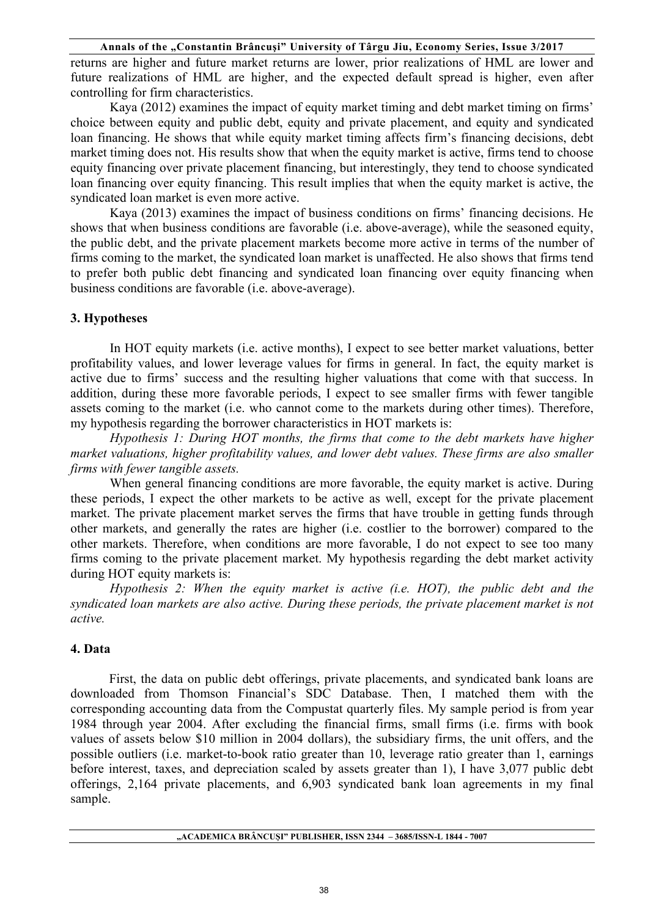returns are higher and future market returns are lower, prior realizations of HML are lower and future realizations of HML are higher, and the expected default spread is higher, even after controlling for firm characteristics.

Kaya (2012) examines the impact of equity market timing and debt market timing on firms' choice between equity and public debt, equity and private placement, and equity and syndicated loan financing. He shows that while equity market timing affects firm's financing decisions, debt market timing does not. His results show that when the equity market is active, firms tend to choose equity financing over private placement financing, but interestingly, they tend to choose syndicated loan financing over equity financing. This result implies that when the equity market is active, the syndicated loan market is even more active.

Kaya (2013) examines the impact of business conditions on firms' financing decisions. He shows that when business conditions are favorable (i.e. above-average), while the seasoned equity, the public debt, and the private placement markets become more active in terms of the number of firms coming to the market, the syndicated loan market is unaffected. He also shows that firms tend to prefer both public debt financing and syndicated loan financing over equity financing when business conditions are favorable (i.e. above-average).

## **3. Hypotheses**

In HOT equity markets (i.e. active months), I expect to see better market valuations, better profitability values, and lower leverage values for firms in general. In fact, the equity market is active due to firms' success and the resulting higher valuations that come with that success. In addition, during these more favorable periods, I expect to see smaller firms with fewer tangible assets coming to the market (i.e. who cannot come to the markets during other times). Therefore, my hypothesis regarding the borrower characteristics in HOT markets is:

*Hypothesis 1: During HOT months, the firms that come to the debt markets have higher market valuations, higher profitability values, and lower debt values. These firms are also smaller firms with fewer tangible assets.* 

When general financing conditions are more favorable, the equity market is active. During these periods, I expect the other markets to be active as well, except for the private placement market. The private placement market serves the firms that have trouble in getting funds through other markets, and generally the rates are higher (i.e. costlier to the borrower) compared to the other markets. Therefore, when conditions are more favorable, I do not expect to see too many firms coming to the private placement market. My hypothesis regarding the debt market activity during HOT equity markets is:

*Hypothesis 2: When the equity market is active (i.e. HOT), the public debt and the syndicated loan markets are also active. During these periods, the private placement market is not active.* 

## **4. Data**

 First, the data on public debt offerings, private placements, and syndicated bank loans are downloaded from Thomson Financial's SDC Database. Then, I matched them with the corresponding accounting data from the Compustat quarterly files. My sample period is from year 1984 through year 2004. After excluding the financial firms, small firms (i.e. firms with book values of assets below \$10 million in 2004 dollars), the subsidiary firms, the unit offers, and the possible outliers (i.e. market-to-book ratio greater than 10, leverage ratio greater than 1, earnings before interest, taxes, and depreciation scaled by assets greater than 1), I have 3,077 public debt offerings, 2,164 private placements, and 6,903 syndicated bank loan agreements in my final sample.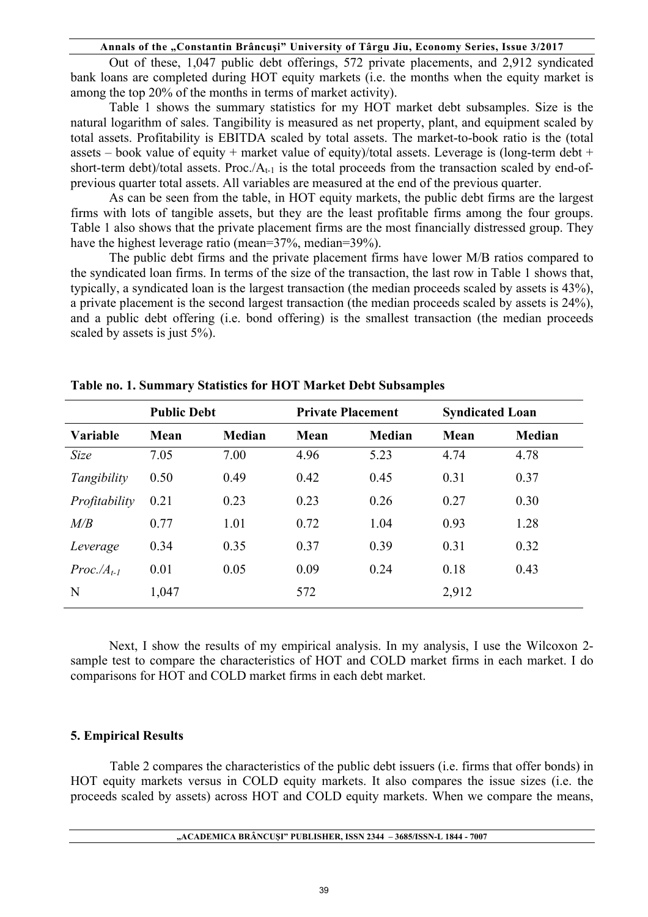Out of these, 1,047 public debt offerings, 572 private placements, and 2,912 syndicated bank loans are completed during HOT equity markets (i.e. the months when the equity market is among the top 20% of the months in terms of market activity).

Table 1 shows the summary statistics for my HOT market debt subsamples. Size is the natural logarithm of sales. Tangibility is measured as net property, plant, and equipment scaled by total assets. Profitability is EBITDA scaled by total assets. The market-to-book ratio is the (total assets – book value of equity + market value of equity)/total assets. Leverage is (long-term debt + short-term debt)/total assets. Proc./ $A_{t-1}$  is the total proceeds from the transaction scaled by end-ofprevious quarter total assets. All variables are measured at the end of the previous quarter.

As can be seen from the table, in HOT equity markets, the public debt firms are the largest firms with lots of tangible assets, but they are the least profitable firms among the four groups. Table 1 also shows that the private placement firms are the most financially distressed group. They have the highest leverage ratio (mean=37%, median=39%).

 The public debt firms and the private placement firms have lower M/B ratios compared to the syndicated loan firms. In terms of the size of the transaction, the last row in Table 1 shows that, typically, a syndicated loan is the largest transaction (the median proceeds scaled by assets is 43%), a private placement is the second largest transaction (the median proceeds scaled by assets is 24%), and a public debt offering (i.e. bond offering) is the smallest transaction (the median proceeds scaled by assets is just 5%).

|                 | <b>Public Debt</b> |               | <b>Private Placement</b> |               | <b>Syndicated Loan</b> |               |
|-----------------|--------------------|---------------|--------------------------|---------------|------------------------|---------------|
| <b>Variable</b> | Mean               | <b>Median</b> | Mean                     | <b>Median</b> | Mean                   | <b>Median</b> |
| Size            | 7.05               | 7.00          | 4.96                     | 5.23          | 4.74                   | 4.78          |
| Tangibility     | 0.50               | 0.49          | 0.42                     | 0.45          | 0.31                   | 0.37          |
| Profitability   | 0.21               | 0.23          | 0.23                     | 0.26          | 0.27                   | 0.30          |
| M/B             | 0.77               | 1.01          | 0.72                     | 1.04          | 0.93                   | 1.28          |
| Leverage        | 0.34               | 0.35          | 0.37                     | 0.39          | 0.31                   | 0.32          |
| $Proc.At-1$     | 0.01               | 0.05          | 0.09                     | 0.24          | 0.18                   | 0.43          |
| N               | 1,047              |               | 572                      |               | 2,912                  |               |

| Table no. 1. Summary Statistics for HOT Market Debt Subsamples |  |  |  |
|----------------------------------------------------------------|--|--|--|
|----------------------------------------------------------------|--|--|--|

Next, I show the results of my empirical analysis. In my analysis, I use the Wilcoxon 2 sample test to compare the characteristics of HOT and COLD market firms in each market. I do comparisons for HOT and COLD market firms in each debt market.

## **5. Empirical Results**

Table 2 compares the characteristics of the public debt issuers (i.e. firms that offer bonds) in HOT equity markets versus in COLD equity markets. It also compares the issue sizes (i.e. the proceeds scaled by assets) across HOT and COLD equity markets. When we compare the means,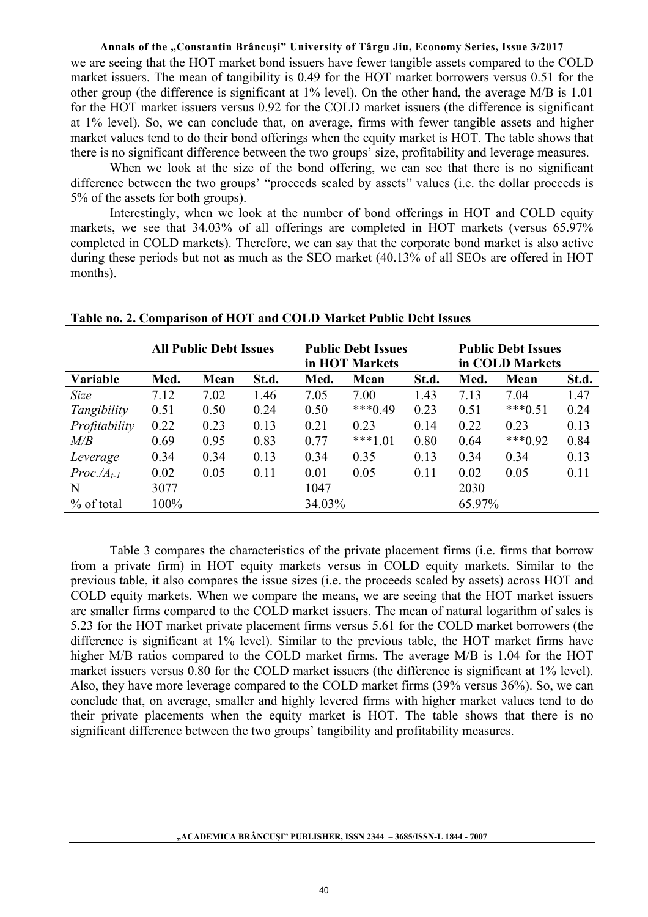we are seeing that the HOT market bond issuers have fewer tangible assets compared to the COLD market issuers. The mean of tangibility is 0.49 for the HOT market borrowers versus 0.51 for the other group (the difference is significant at 1% level). On the other hand, the average M/B is 1.01 for the HOT market issuers versus 0.92 for the COLD market issuers (the difference is significant at 1% level). So, we can conclude that, on average, firms with fewer tangible assets and higher market values tend to do their bond offerings when the equity market is HOT. The table shows that there is no significant difference between the two groups' size, profitability and leverage measures.

When we look at the size of the bond offering, we can see that there is no significant difference between the two groups' "proceeds scaled by assets" values (i.e. the dollar proceeds is 5% of the assets for both groups).

Interestingly, when we look at the number of bond offerings in HOT and COLD equity markets, we see that 34.03% of all offerings are completed in HOT markets (versus 65.97% completed in COLD markets). Therefore, we can say that the corporate bond market is also active during these periods but not as much as the SEO market (40.13% of all SEOs are offered in HOT months).

|               |      | <b>All Public Debt Issues</b> |       |        | <b>Public Debt Issues</b><br>in HOT Markets |       | <b>Public Debt Issues</b><br>in COLD Markets |           |       |
|---------------|------|-------------------------------|-------|--------|---------------------------------------------|-------|----------------------------------------------|-----------|-------|
| Variable      | Med. | Mean                          | St.d. | Med.   | Mean                                        | St.d. | Med.                                         | Mean      | St.d. |
| Size          | 7.12 | 7.02                          | 1.46  | 7.05   | 7.00                                        | 1.43  | 7.13                                         | 7.04      | 1.47  |
| Tangibility   | 0.51 | 0.50                          | 0.24  | 0.50   | $***0.49$                                   | 0.23  | 0.51                                         | $***0.51$ | 0.24  |
| Profitability | 0.22 | 0.23                          | 0.13  | 0.21   | 0.23                                        | 0.14  | 0.22                                         | 0.23      | 0.13  |
| M/B           | 0.69 | 0.95                          | 0.83  | 0.77   | $***1.01$                                   | 0.80  | 0.64                                         | $***0.92$ | 0.84  |
| Leverage      | 0.34 | 0.34                          | 0.13  | 0.34   | 0.35                                        | 0.13  | 0.34                                         | 0.34      | 0.13  |
| $Proc.At-1$   | 0.02 | 0.05                          | 0.11  | 0.01   | 0.05                                        | 0.11  | 0.02                                         | 0.05      | 0.11  |
| N             | 3077 |                               |       | 1047   |                                             |       | 2030                                         |           |       |
| % of total    | 100% |                               |       | 34.03% |                                             |       | 65.97%                                       |           |       |

#### **Table no. 2. Comparison of HOT and COLD Market Public Debt Issues**

Table 3 compares the characteristics of the private placement firms (i.e. firms that borrow from a private firm) in HOT equity markets versus in COLD equity markets. Similar to the previous table, it also compares the issue sizes (i.e. the proceeds scaled by assets) across HOT and COLD equity markets. When we compare the means, we are seeing that the HOT market issuers are smaller firms compared to the COLD market issuers. The mean of natural logarithm of sales is 5.23 for the HOT market private placement firms versus 5.61 for the COLD market borrowers (the difference is significant at 1% level). Similar to the previous table, the HOT market firms have higher M/B ratios compared to the COLD market firms. The average M/B is 1.04 for the HOT market issuers versus 0.80 for the COLD market issuers (the difference is significant at 1% level). Also, they have more leverage compared to the COLD market firms (39% versus 36%). So, we can conclude that, on average, smaller and highly levered firms with higher market values tend to do their private placements when the equity market is HOT. The table shows that there is no significant difference between the two groups' tangibility and profitability measures.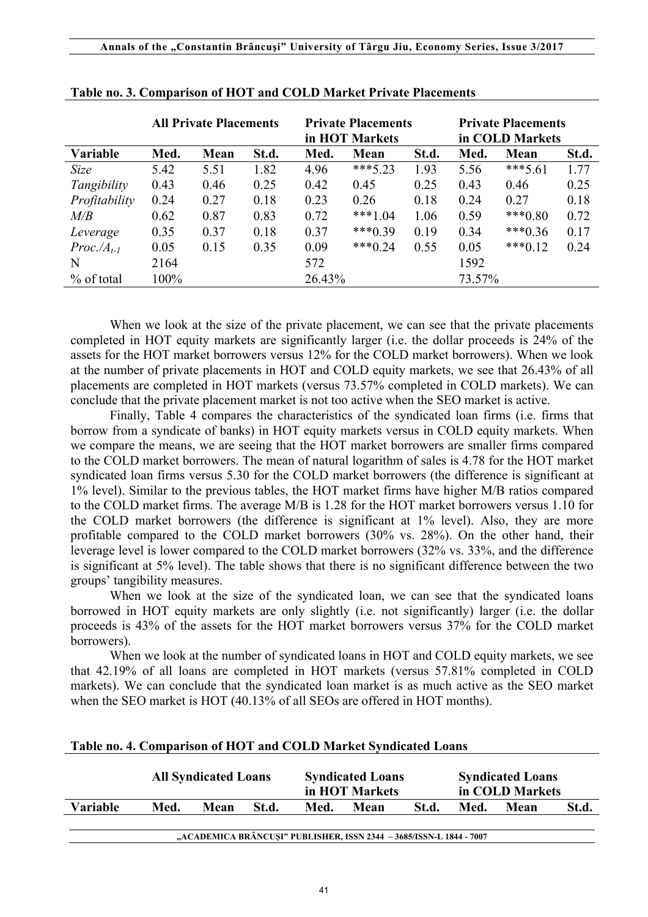|                 | <b>All Private Placements</b> |      |      | <b>Private Placements</b><br>in HOT Markets |           |       | <b>Private Placements</b><br>in COLD Markets |           |       |
|-----------------|-------------------------------|------|------|---------------------------------------------|-----------|-------|----------------------------------------------|-----------|-------|
| <b>Variable</b> | Med.<br>Mean<br>St.d.         |      |      | Med.                                        | Mean      | St.d. | Med.                                         | Mean      | St.d. |
| Size            | 5.42                          | 5.51 | 1.82 | 4.96                                        | ***5.23   | 1.93  | 5.56                                         | $***5.61$ | 1.77  |
| Tangibility     | 0.43                          | 0.46 | 0.25 | 0.42                                        | 0.45      | 0.25  | 0.43                                         | 0.46      | 0.25  |
| Profitability   | 0.24                          | 0.27 | 0.18 | 0.23                                        | 0.26      | 0.18  | 0.24                                         | 0.27      | 0.18  |
| M/B             | 0.62                          | 0.87 | 0.83 | 0.72                                        | $***1.04$ | 1.06  | 0.59                                         | $***0.80$ | 0.72  |
| Leverage        | 0.35                          | 0.37 | 0.18 | 0.37                                        | $***0.39$ | 0.19  | 0.34                                         | $***0.36$ | 0.17  |
| $Proc.At-1$     | 0.05                          | 0.15 | 0.35 | 0.09                                        | $***0.24$ | 0.55  | 0.05                                         | $***0.12$ | 0.24  |
| N               | 2164                          |      |      | 572                                         |           |       | 1592                                         |           |       |
| % of total      | 100%                          |      |      | 26.43%                                      |           |       | 73.57%                                       |           |       |

**Table no. 3. Comparison of HOT and COLD Market Private Placements**

When we look at the size of the private placement, we can see that the private placements completed in HOT equity markets are significantly larger (i.e. the dollar proceeds is 24% of the assets for the HOT market borrowers versus 12% for the COLD market borrowers). When we look at the number of private placements in HOT and COLD equity markets, we see that 26.43% of all placements are completed in HOT markets (versus 73.57% completed in COLD markets). We can conclude that the private placement market is not too active when the SEO market is active.

Finally, Table 4 compares the characteristics of the syndicated loan firms (i.e. firms that borrow from a syndicate of banks) in HOT equity markets versus in COLD equity markets. When we compare the means, we are seeing that the HOT market borrowers are smaller firms compared to the COLD market borrowers. The mean of natural logarithm of sales is 4.78 for the HOT market syndicated loan firms versus 5.30 for the COLD market borrowers (the difference is significant at 1% level). Similar to the previous tables, the HOT market firms have higher M/B ratios compared to the COLD market firms. The average M/B is 1.28 for the HOT market borrowers versus 1.10 for the COLD market borrowers (the difference is significant at 1% level). Also, they are more profitable compared to the COLD market borrowers (30% vs. 28%). On the other hand, their leverage level is lower compared to the COLD market borrowers (32% vs. 33%, and the difference is significant at 5% level). The table shows that there is no significant difference between the two groups' tangibility measures.

When we look at the size of the syndicated loan, we can see that the syndicated loans borrowed in HOT equity markets are only slightly (i.e. not significantly) larger (i.e. the dollar proceeds is 43% of the assets for the HOT market borrowers versus 37% for the COLD market borrowers).

When we look at the number of syndicated loans in HOT and COLD equity markets, we see that 42.19% of all loans are completed in HOT markets (versus 57.81% completed in COLD markets). We can conclude that the syndicated loan market is as much active as the SEO market when the SEO market is HOT (40.13% of all SEOs are offered in HOT months).

|          | <b>All Syndicated Loans</b> |      |       | <b>Syndicated Loans</b><br>in HOT Markets |                                                                     |       | <b>Syndicated Loans</b><br>in COLD Markets |      |       |
|----------|-----------------------------|------|-------|-------------------------------------------|---------------------------------------------------------------------|-------|--------------------------------------------|------|-------|
| Variable | Med.                        | Mean | St.d. | Med.                                      | Mean                                                                | St.d. | Med.                                       | Mean | St.d. |
|          |                             |      |       |                                           | "ACADEMICA BRÂNCUȘI" PUBLISHER, ISSN 2344 - 3685/ISSN-L 1844 - 7007 |       |                                            |      |       |

#### **Table no. 4. Comparison of HOT and COLD Market Syndicated Loans**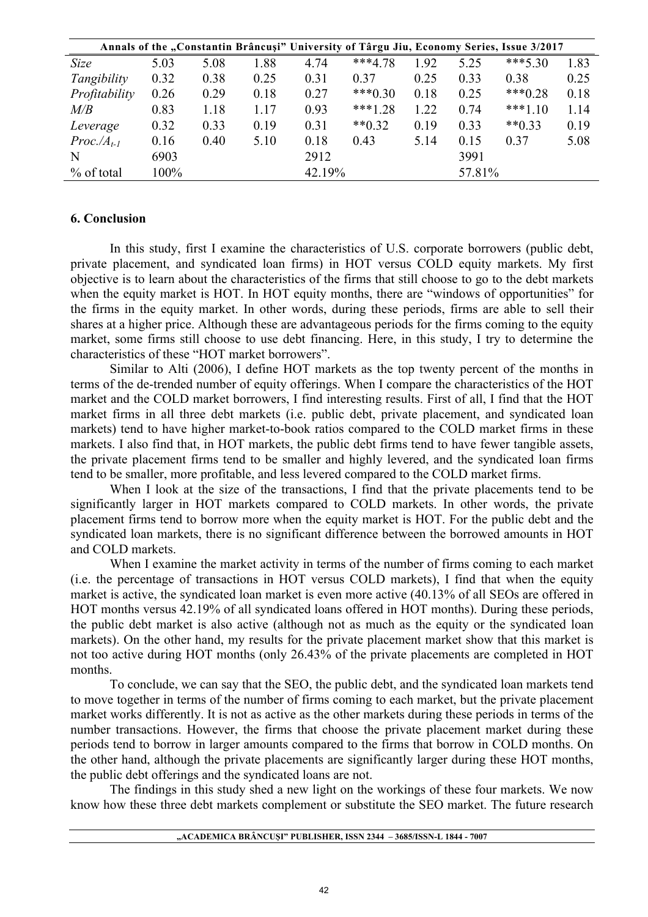|               |      |      |      |        |              |      |        | Annals of the "Constantin Brâncuși" University of Târgu Jiu, Economy Series, Issue 3/2017 |      |
|---------------|------|------|------|--------|--------------|------|--------|-------------------------------------------------------------------------------------------|------|
| Size          | 5.03 | 5.08 | 1.88 | 4.74   | $***4.78$    | 1.92 | 5.25   | $***5.30$                                                                                 | 1.83 |
| Tangibility   | 0.32 | 0.38 | 0.25 | 0.31   | 0.37         | 0.25 | 0.33   | 0.38                                                                                      | 0.25 |
| Profitability | 0.26 | 0.29 | 0.18 | 0.27   | $***0.30$    | 0.18 | 0.25   | $***0.28$                                                                                 | 0.18 |
| M/B           | 0.83 | 1.18 | 1.17 | 0.93   | $***1.28$    | 1.22 | 0.74   | $***1.10$                                                                                 | 1.14 |
| Leverage      | 0.32 | 0.33 | 0.19 | 0.31   | $*$ $*$ 0.32 | 0.19 | 0.33   | $**0.33$                                                                                  | 0.19 |
| $Proc.At-1$   | 0.16 | 0.40 | 5.10 | 0.18   | 0.43         | 5.14 | 0.15   | 0.37                                                                                      | 5.08 |
| N             | 6903 |      |      | 2912   |              |      | 3991   |                                                                                           |      |
| % of total    | 100% |      |      | 42.19% |              |      | 57.81% |                                                                                           |      |

## **6. Conclusion**

In this study, first I examine the characteristics of U.S. corporate borrowers (public debt, private placement, and syndicated loan firms) in HOT versus COLD equity markets. My first objective is to learn about the characteristics of the firms that still choose to go to the debt markets when the equity market is HOT. In HOT equity months, there are "windows of opportunities" for the firms in the equity market. In other words, during these periods, firms are able to sell their shares at a higher price. Although these are advantageous periods for the firms coming to the equity market, some firms still choose to use debt financing. Here, in this study, I try to determine the characteristics of these "HOT market borrowers".

Similar to Alti (2006), I define HOT markets as the top twenty percent of the months in terms of the de-trended number of equity offerings. When I compare the characteristics of the HOT market and the COLD market borrowers, I find interesting results. First of all, I find that the HOT market firms in all three debt markets (i.e. public debt, private placement, and syndicated loan markets) tend to have higher market-to-book ratios compared to the COLD market firms in these markets. I also find that, in HOT markets, the public debt firms tend to have fewer tangible assets, the private placement firms tend to be smaller and highly levered, and the syndicated loan firms tend to be smaller, more profitable, and less levered compared to the COLD market firms.

When I look at the size of the transactions, I find that the private placements tend to be significantly larger in HOT markets compared to COLD markets. In other words, the private placement firms tend to borrow more when the equity market is HOT. For the public debt and the syndicated loan markets, there is no significant difference between the borrowed amounts in HOT and COLD markets.

When I examine the market activity in terms of the number of firms coming to each market (i.e. the percentage of transactions in HOT versus COLD markets), I find that when the equity market is active, the syndicated loan market is even more active (40.13% of all SEOs are offered in HOT months versus 42.19% of all syndicated loans offered in HOT months). During these periods, the public debt market is also active (although not as much as the equity or the syndicated loan markets). On the other hand, my results for the private placement market show that this market is not too active during HOT months (only 26.43% of the private placements are completed in HOT months.

To conclude, we can say that the SEO, the public debt, and the syndicated loan markets tend to move together in terms of the number of firms coming to each market, but the private placement market works differently. It is not as active as the other markets during these periods in terms of the number transactions. However, the firms that choose the private placement market during these periods tend to borrow in larger amounts compared to the firms that borrow in COLD months. On the other hand, although the private placements are significantly larger during these HOT months, the public debt offerings and the syndicated loans are not.

The findings in this study shed a new light on the workings of these four markets. We now know how these three debt markets complement or substitute the SEO market. The future research